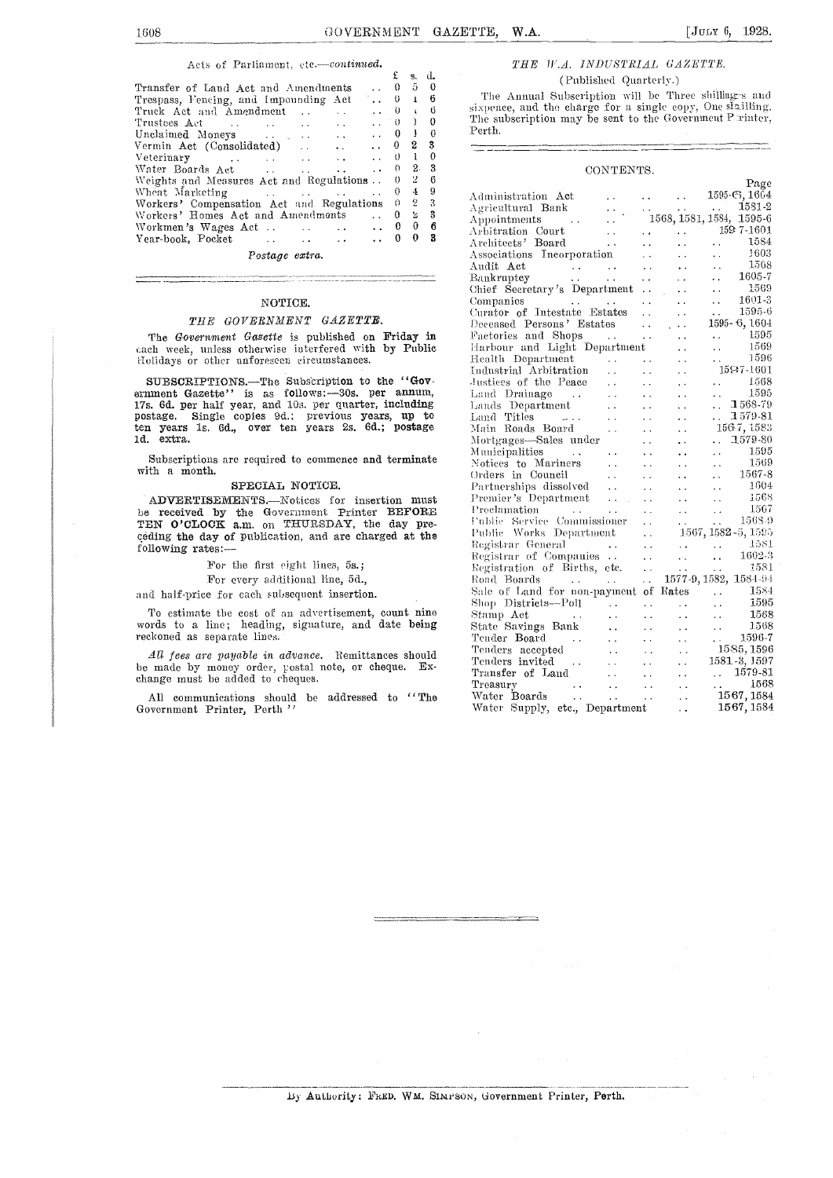#### Acts of Parliament, etc.-continued.

|                                                                                                                                      |                              |                            |             | я.             | - ú.           |                       |
|--------------------------------------------------------------------------------------------------------------------------------------|------------------------------|----------------------------|-------------|----------------|----------------|-----------------------|
| Transfer of Land Act and Amendments                                                                                                  |                              |                            | $\bullet$ 0 |                | $5\quad 0$     |                       |
| Trespass, Fencing, and Impounding Act  0 1 6                                                                                         |                              |                            |             |                |                |                       |
| Truck Act and Amendment                                                                                                              |                              | $\cdots$ $\cdots$ $\cdots$ |             |                | 10             | si                    |
| Trustees Act<br>the contract of the contract of the contract of the contract of the contract of                                      |                              | 1.0010                     |             |                |                | $\overline{\text{T}}$ |
|                                                                                                                                      |                              | $\therefore$ 0 1 0         |             |                |                | $\mathbf{P}$          |
| Vermin Act (Consolidated)                                                                                                            | $\ldots$ $\ldots$ $\ldots$ 0 |                            |             | 2 <sub>3</sub> |                |                       |
| Veterinary $\ldots$ $\ldots$ $\ldots$ $\ldots$ $\theta$ 1 0                                                                          |                              |                            |             |                |                |                       |
| Water Boards Act 0 $2$                                                                                                               |                              |                            |             |                | - 3            |                       |
| Weights and Measures Act and Regulations . 0 2                                                                                       |                              |                            |             |                | - 6            |                       |
|                                                                                                                                      |                              |                            | 0.          |                | $4 \t9$        | Α                     |
| Workers' Compensation Act and Regulations 0 2                                                                                        |                              |                            |             |                | - 3            | А                     |
| Workers' Homes Act and Amendments                                                                                                    |                              |                            |             |                | 2 <sup>3</sup> | Α                     |
|                                                                                                                                      |                              |                            |             | 0              | в              | Α                     |
| Year-book, Pocket<br>and the state of the state of the state of the state of the state of the state of the state of the state of the |                              |                            |             | 0              | 3              | Α                     |
|                                                                                                                                      |                              |                            |             |                |                |                       |

Postage extra.

#### NOTICE.

#### THE GOVERNMENT GAZETTE,

The Government Gazette is published on Friday in each week, unless otherwise interfered with by Public 'holidays or other unforeseen circumstances.

SUBSCRIPTIONS. The Subscription to the "Gov-<br>
ernment Gazette" is as follows:-30s. per annum, 17s. 6d. per half year, and 10s. per quarter, including Land postage. Single copies 9d.; previous years, up to Land ten years ls. 6d., over ten years 2s. 6d.; postage ld. extra.

Subscriptions are required to commence and terminate with a month.

#### SPECIAL NOTICE.

ADVERTISEMENTS.--Notices for insertion must be received by the Government Printer BEFORE  $\qquad$  Proclamat TEN O'CLOCK a.m. on THURSDAY, the day pre-<br>ceding the day of publication, and are charged at the  $\begin{bmatrix} 1 & 0 \\ 0 & 1 \end{bmatrix}$ ceding the day of publication, and are charged at the following rates:-

#### For the first eight lines, 5s.;

For every additional line, 5d.,

and half-price for each subsequent insertion.

To estimate the cost of an advertisement, count nine words to a line; heading, signature, and date being reckoned as separate lines.

All fees are payable in advance. Remittances should be made by money order, gostal note, or cheque. Exchange must be added to cheques.

All communications should be addressed to "The Water Government Printer, Perth "

#### THE W.A. INDUSTRIAL GAZETTE. (Published Quarterly.)

The Annual Subscription will be Three shilling-s and sixpence, and the charge for a single copy, One stailling. The subscription may be sent to the Government P rinter, Perth.

| CONTENTS.                                                                                                                                                                                                                                        |                                                 |
|--------------------------------------------------------------------------------------------------------------------------------------------------------------------------------------------------------------------------------------------------|-------------------------------------------------|
|                                                                                                                                                                                                                                                  | Page                                            |
|                                                                                                                                                                                                                                                  | 1595-6, 1604                                    |
|                                                                                                                                                                                                                                                  |                                                 |
| Agricultural Bank<br>Agricultural Bank<br>Appointments<br>Arbitration Court<br>Architects' Board<br>Architects: Board<br>Architects: Board<br>Andit Act<br>Andit Act                                                                             |                                                 |
|                                                                                                                                                                                                                                                  |                                                 |
|                                                                                                                                                                                                                                                  |                                                 |
|                                                                                                                                                                                                                                                  |                                                 |
|                                                                                                                                                                                                                                                  |                                                 |
| Audit Act (1968).<br>Bankruptcy (1965). 1605-7                                                                                                                                                                                                   |                                                 |
|                                                                                                                                                                                                                                                  |                                                 |
|                                                                                                                                                                                                                                                  | 1569                                            |
| $\mathcal{L}^{\mathcal{L}}$ , where $\mathcal{L}^{\mathcal{L}}$ is the contribution of the $\mathcal{L}^{\mathcal{L}}$<br>Companies                                                                                                              | $\frac{1}{2} \frac{1}{2} \frac{1}{2}$<br>1601-3 |
|                                                                                                                                                                                                                                                  |                                                 |
| Curator of Intestate Estates   1595-6<br>Deceased Persons' Estates   1595-6, 1604                                                                                                                                                                |                                                 |
| Eactoris and Shops<br>Harbour and Light Department<br>Harbour and Light Department<br>Health Department<br>Health Department<br>Laustices of the Peace<br>Laustrian Department<br>Laustrian Department<br>Laustrian Department<br>Laustrian Depa |                                                 |
|                                                                                                                                                                                                                                                  |                                                 |
|                                                                                                                                                                                                                                                  |                                                 |
|                                                                                                                                                                                                                                                  |                                                 |
|                                                                                                                                                                                                                                                  |                                                 |
|                                                                                                                                                                                                                                                  |                                                 |
| Land Drainage      1595<br>Lands Department     1568-79                                                                                                                                                                                          |                                                 |
|                                                                                                                                                                                                                                                  |                                                 |
|                                                                                                                                                                                                                                                  |                                                 |
|                                                                                                                                                                                                                                                  |                                                 |
|                                                                                                                                                                                                                                                  |                                                 |
|                                                                                                                                                                                                                                                  |                                                 |
|                                                                                                                                                                                                                                                  |                                                 |
|                                                                                                                                                                                                                                                  |                                                 |
|                                                                                                                                                                                                                                                  |                                                 |
|                                                                                                                                                                                                                                                  |                                                 |
|                                                                                                                                                                                                                                                  |                                                 |
|                                                                                                                                                                                                                                                  |                                                 |
|                                                                                                                                                                                                                                                  |                                                 |
|                                                                                                                                                                                                                                                  |                                                 |
|                                                                                                                                                                                                                                                  |                                                 |
|                                                                                                                                                                                                                                                  |                                                 |
| Frocanation<br>Publie Service Commissioner<br>Publie Works Department<br>Registrar General<br>Registrar of Companies<br>Neglistrar of Companies<br>Neglistrar of Companies<br>Registration of Births, etc.<br>Neglistration of Births, etc.<br>N |                                                 |
|                                                                                                                                                                                                                                                  |                                                 |
| Sale of Land for non-payment of Rates  1584                                                                                                                                                                                                      |                                                 |
|                                                                                                                                                                                                                                                  | 1595                                            |
|                                                                                                                                                                                                                                                  | 1568                                            |
|                                                                                                                                                                                                                                                  |                                                 |
|                                                                                                                                                                                                                                                  |                                                 |
|                                                                                                                                                                                                                                                  |                                                 |
|                                                                                                                                                                                                                                                  |                                                 |
|                                                                                                                                                                                                                                                  |                                                 |
|                                                                                                                                                                                                                                                  |                                                 |
|                                                                                                                                                                                                                                                  |                                                 |
|                                                                                                                                                                                                                                                  |                                                 |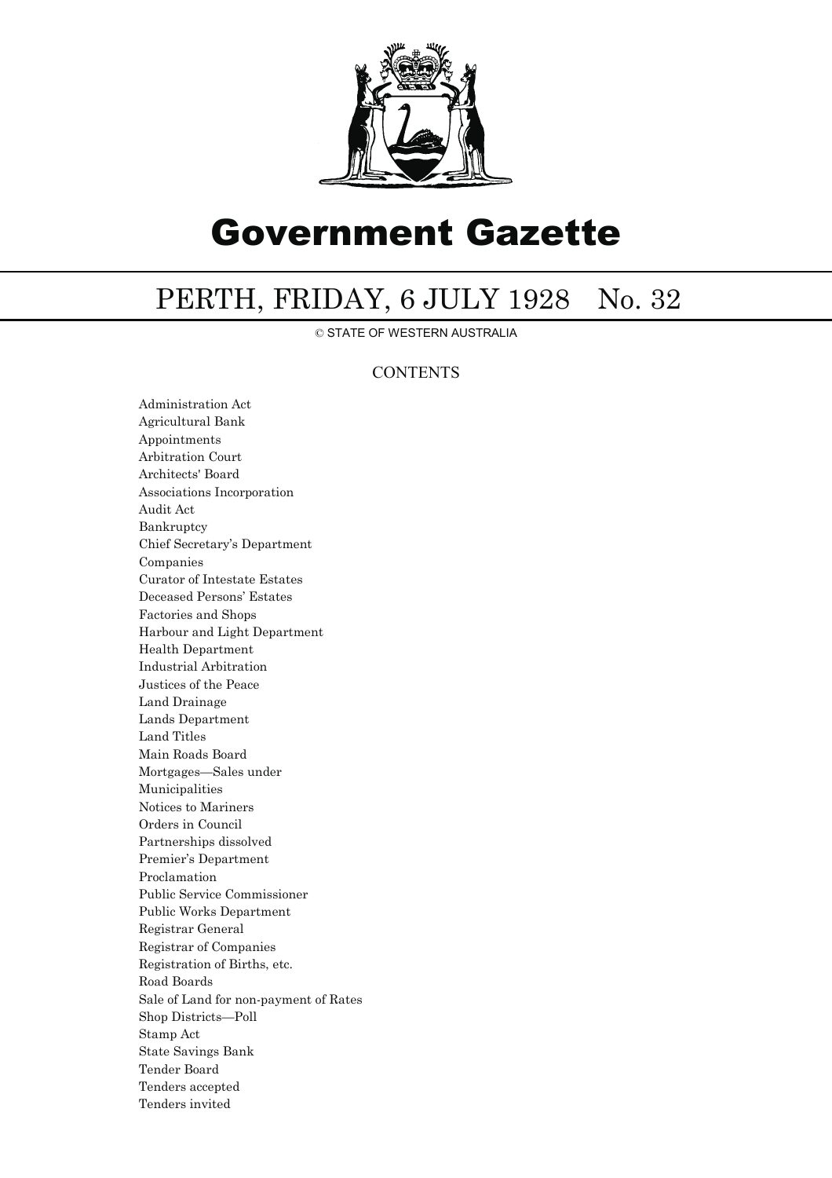

# Government Gazette

## PERTH, FRIDAY, 6 JULY 1928 No. 32

© STATE OF WESTERN AUSTRALIA

### **CONTENTS**

Administration Act Agricultural Bank Appointments Arbitration Court Architects' Board Associations Incorporation Audit Act Bankruptcy Chief Secretary's Department Companies Curator of Intestate Estates Deceased Persons' Estates Factories and Shops Harbour and Light Department Health Department Industrial Arbitration Justices of the Peace Land Drainage Lands Department Land Titles Main Roads Board Mortgages—Sales under Municipalities Notices to Mariners Orders in Council Partnerships dissolved Premier's Department Proclamation Public Service Commissioner Public Works Department Registrar General Registrar of Companies Registration of Births, etc. Road Boards Sale of Land for non-payment of Rates Shop Districts—Poll Stamp Act State Savings Bank Tender Board Tenders accepted Tenders invited